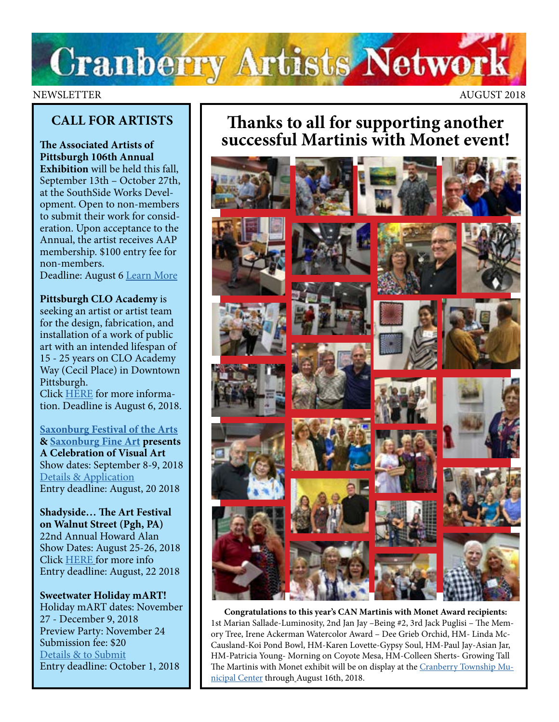# **Cranberry Artists Network**

### NEWSLETTER AUGUST 2018

### **CALL FOR ARTISTS**

**The Associated Artists of Pittsburgh 106th Annual Exhibition** will be held this fall, September 13th – October 27th, at the SouthSide Works Development. Open to non-members to submit their work for consideration. Upon acceptance to the Annual, the artist receives AAP membership. \$100 entry fee for non-members.

Deadline: August 6 [Learn More](https://aap.slideroom.com/#/login/program/42888/yVbpzPBU0x)

**Pittsburgh CLO Academy** is

seeking an artist or artist team for the design, fabrication, and installation of a work of public art with an intended lifespan of 15 - 25 years on CLO Academy Way (Cecil Place) in Downtown Pittsburgh.

Click [HERE](http://www.pittsburghartscouncil.org/pittsburgh-clo-academy-public-art-project) for more information. Deadline is August 6, 2018.

**[Saxonburg Festival of the Arts](http://www.saxonburgfineart.com/SFApostcard18%20copy.pdf) & [Saxonburg Fine Art](http://www.saxonburgfineart.com/) presents A Celebration of Visual Art** Show dates: September 8-9, 2018 [Details & Application](http://www.saxonburgfineart.com/2018%20SFA%20RULES%20%20Applicationpg1-2.pdf) Entry deadline: August, 20 2018

**Shadyside… The Art Festival on Walnut Street (Pgh, PA)** 22nd Annual Howard Alan Show Dates: August 25-26, 2018 Click [HERE](https://www.zapplication.org/event-info.php?ID=6118) for more info Entry deadline: August, 22 2018

**Sweetwater Holiday mART!**  Holiday mART dates: November 27 - December 9, 2018 Preview Party: November 24 Submission fee: \$20 [Details & to Submit](http://sweetwaterartcenter.org/call_for_artists/holiday-mart/) Entry deadline: October 1, 2018

## **Thanks to all for supporting another successful Martinis with Monet event!**



**Congratulations to this year's CAN Martinis with Monet Award recipients:**  1st Marian Sallade-Luminosity, 2nd Jan Jay –Being #2, 3rd Jack Puglisi – The Memory Tree, Irene Ackerman Watercolor Award – Dee Grieb Orchid, HM- Linda Mc-Causland-Koi Pond Bowl, HM-Karen Lovette-Gypsy Soul, HM-Paul Jay-Asian Jar, HM-Patricia Young- Morning on Coyote Mesa, HM-Colleen Sherts- Growing Tall The Martinis with Monet exhibit will be on display at the [Cranberry Township Mu](http://www.cranberrytownship.org/482/Municipal-Center)[nicipal Center](http://www.cranberrytownship.org/482/Municipal-Center) through August 16th, 2018.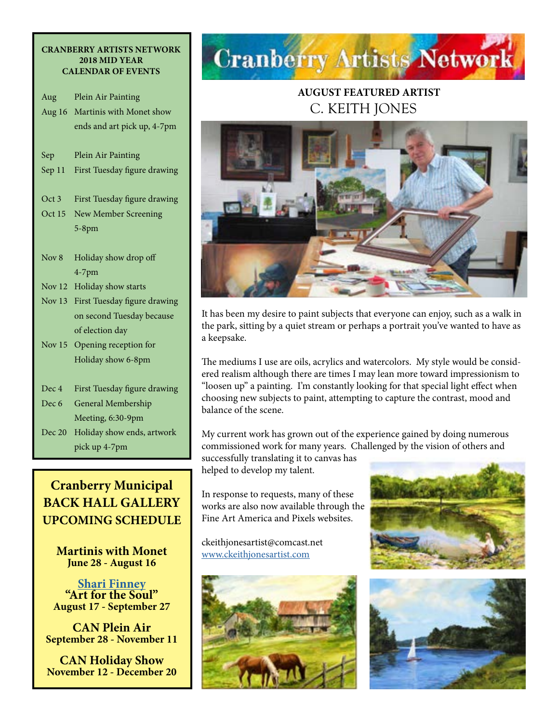#### **CRANBERRY ARTISTS NETWORK 2018 MID YEAR CALENDAR OF EVENTS**

| Aug           | Plein Air Painting           |
|---------------|------------------------------|
| Aug $16$      | Martinis with Monet show     |
|               | ends and art pick up, 4-7pm  |
|               |                              |
| Sep           | Plein Air Painting           |
| Sep 11        | First Tuesday figure drawing |
|               |                              |
| Oct 3         | First Tuesday figure drawing |
| Oct 15        | New Member Screening         |
|               | $5-8$ pm                     |
|               |                              |
| Nov 8         | Holiday show drop off        |
|               | $4-7$ pm                     |
| Nov $12$      | Holiday show starts          |
| <b>Nov 13</b> | First Tuesday figure drawing |
|               | on second Tuesday because    |
|               | of election day              |
| Nov $15$      | Opening reception for        |
|               | Holiday show 6-8pm           |
|               |                              |
| Dec 4         | First Tuesday figure drawing |
| Dec 6         | General Membership           |
|               | Meeting, 6:30-9pm            |
| Dec 20        | Holiday show ends, artwork   |
|               | pick up 4-7pm                |

## **Cranberry Municipal BACK HALL GALLERY UPCOMING SCHEDULE**

**Martinis with Monet June 28 - August 16**

**[Shari Finney](http://artbeyondwords.com/) "Art for the Soul" August 17 - September 27**

**CAN Plein Air September 28 - November 11**

**CAN Holiday Show November 12 - December 20** 

## **Cranberry Artists Network**

## **AUGUST FEATURED ARTIST**  C. KEITH JONES



It has been my desire to paint subjects that everyone can enjoy, such as a walk in the park, sitting by a quiet stream or perhaps a portrait you've wanted to have as a keepsake.

The mediums I use are oils, acrylics and watercolors. My style would be considered realism although there are times I may lean more toward impressionism to "loosen up" a painting. I'm constantly looking for that special light effect when choosing new subjects to paint, attempting to capture the contrast, mood and balance of the scene.

My current work has grown out of the experience gained by doing numerous commissioned work for many years. Challenged by the vision of others and

successfully translating it to canvas has helped to develop my talent.

In response to requests, many of these works are also now available through the Fine Art America and Pixels websites.

ckeithjonesartist@comcast.net [www.ckeithjonesartist.com](http://www.ckeithjonesartist.com)





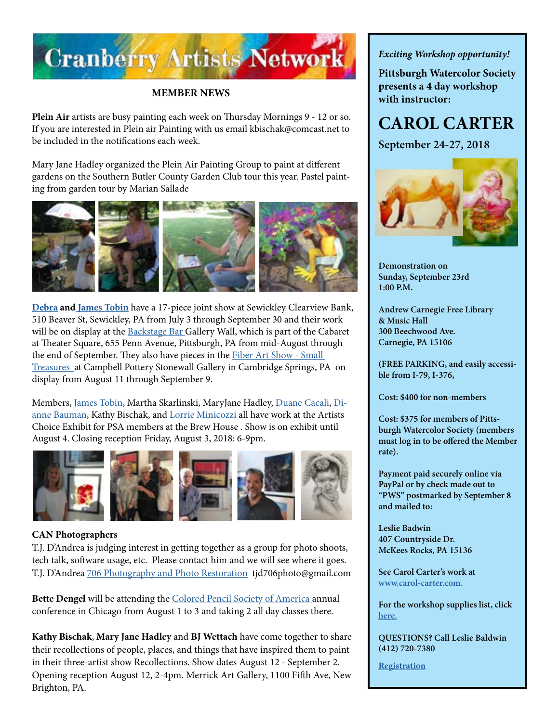

#### **MEMBER NEWS**

**Plein Air** artists are busy painting each week on Thursday Mornings 9 - 12 or so. If you are interested in Plein air Painting with us email kbischak@comcast.net to be included in the notifications each week.

Mary Jane Hadley organized the Plein Air Painting Group to paint at different gardens on the Southern Butler County Garden Club tour this year. Pastel painting from garden tour by Marian Sallade



**[Debra](http://www.debratobinart.com) and [James Tobin](http://www.jamestobinart.com)** have a 17-piece joint show at Sewickley Clearview Bank, 510 Beaver St, Sewickley, PA from July 3 through September 30 and their work will be on display at the [Backstage Bar](https://trustarts.org/pct_home/visit/facilities/cabaret) Gallery Wall, which is part of the Cabaret at Theater Square, 655 Penn Avenue, Pittsburgh, PA from mid-August through the end of September. They also have pieces in the Fiber Art Show - Small [Treasures](http://www.campbellpotterystore.com/events/event?date_time_id=920) at Campbell Pottery Stonewall Gallery in Cambridge Springs, PA on display from August 11 through September 9.

Members, [James Tobin](https://jamestobinart.com/), Martha Skarlinski, MaryJane Hadley, [Duane Cacali,](http://www.dcdigitalcanvas.com ) [Di](http://www.diannebauman.com/)[anne Bauman](http://www.diannebauman.com/), Kathy Bischak, and [Lorrie Minicozzi](http://Lorrie Minicozzi) all have work at the Artists Choice Exhibit for PSA members at the Brew House . Show is on exhibit until August 4. Closing reception Friday, August 3, 2018: 6-9pm.



#### **CAN Photographers**

T.J. D'Andrea is judging interest in getting together as a group for photo shoots, tech talk, software usage, etc. Please contact him and we will see where it goes. T.J. D'Andrea [706 Photography and Photo Restoration](http://www.706photo.com/) tjd706photo@gmail.com

**Bette Dengel** will be attending the [Colored Pencil Society of America a](https://www.cpsa.org/convention/)nnual conference in Chicago from August 1 to 3 and taking 2 all day classes there.

**Kathy Bischak**, **Mary Jane Hadley** and **BJ Wettach** have come together to share their recollections of people, places, and things that have inspired them to paint in their three-artist show Recollections. Show dates August 12 - September 2. Opening reception August 12, 2-4pm. Merrick Art Gallery, 1100 Fifth Ave, New Brighton, PA.

*Exciting Workshop opportunity!* 

**Pittsburgh Watercolor Society presents a 4 day workshop with instructor:** 

## **CAROL CARTER**

**September 24-27, 2018**



**Demonstration on Sunday, September 23rd 1:00 P.M.**

**Andrew Carnegie Free Library & Music Hall 300 Beechwood Ave. Carnegie, PA 15106**

**(FREE PARKING, and easily accessible from I-79, I-376,**

**Cost: \$400 for non-members** 

**Cost: \$375 for members of Pittsburgh Watercolor Society (members must log in to be offered the Member rate).**

**Payment paid securely online via PayPal or by check made out to "PWS" postmarked by September 8 and mailed to:**

**Leslie Badwin 407 Countryside Dr. McKees Rocks, PA 15136**

**See Carol Carter's work at [www.carol-carter.com.](http://www.carol-carter.com)**

**For the workshop supplies list, click [here.](https://www.pittsburghwatercolorsociety.com/resources/Documents/Workshops/PWS_2018_Carter%20Watercolor%20Materials%20List.pdf)** 

**QUESTIONS? Call Leslie Baldwin (412) 720-7380**

**[Registration](https://www.pittsburghwatercolorsociety.com/event-2883908/Registration)**